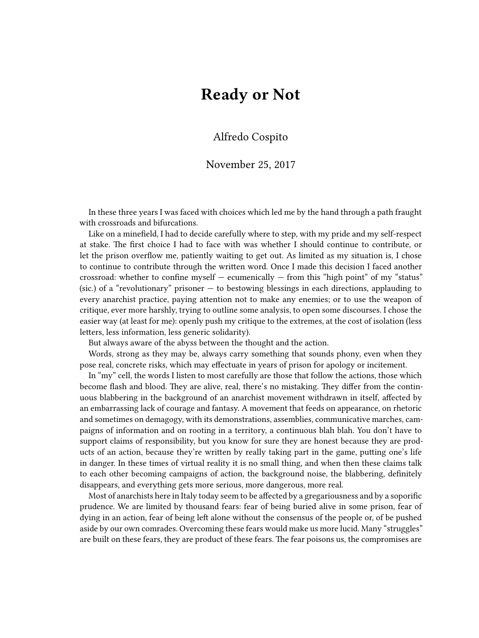## **Ready or Not**

## Alfredo Cospito

## November 25, 2017

In these three years I was faced with choices which led me by the hand through a path fraught with crossroads and bifurcations.

Like on a minefield, I had to decide carefully where to step, with my pride and my self-respect at stake. The first choice I had to face with was whether I should continue to contribute, or let the prison overflow me, patiently waiting to get out. As limited as my situation is, I chose to continue to contribute through the written word. Once I made this decision I faced another crossroad: whether to confine myself  $-$  ecumenically  $-$  from this "high point" of my "status" (sic.) of a "revolutionary" prisoner  $-$  to bestowing blessings in each directions, applauding to every anarchist practice, paying attention not to make any enemies; or to use the weapon of critique, ever more harshly, trying to outline some analysis, to open some discourses. I chose the easier way (at least for me): openly push my critique to the extremes, at the cost of isolation (less letters, less information, less generic solidarity).

But always aware of the abyss between the thought and the action.

Words, strong as they may be, always carry something that sounds phony, even when they pose real, concrete risks, which may effectuate in years of prison for apology or incitement.

In "my" cell, the words I listen to most carefully are those that follow the actions, those which become flash and blood. They are alive, real, there's no mistaking. They differ from the continuous blabbering in the background of an anarchist movement withdrawn in itself, affected by an embarrassing lack of courage and fantasy. A movement that feeds on appearance, on rhetoric and sometimes on demagogy, with its demonstrations, assemblies, communicative marches, campaigns of information and on rooting in a territory, a continuous blah blah. You don't have to support claims of responsibility, but you know for sure they are honest because they are products of an action, because they're written by really taking part in the game, putting one's life in danger. In these times of virtual reality it is no small thing, and when then these claims talk to each other becoming campaigns of action, the background noise, the blabbering, definitely disappears, and everything gets more serious, more dangerous, more real.

Most of anarchists here in Italy today seem to be affected by a gregariousness and by a soporific prudence. We are limited by thousand fears: fear of being buried alive in some prison, fear of dying in an action, fear of being left alone without the consensus of the people or, of be pushed aside by our own comrades. Overcoming these fears would make us more lucid. Many "struggles" are built on these fears, they are product of these fears. The fear poisons us, the compromises are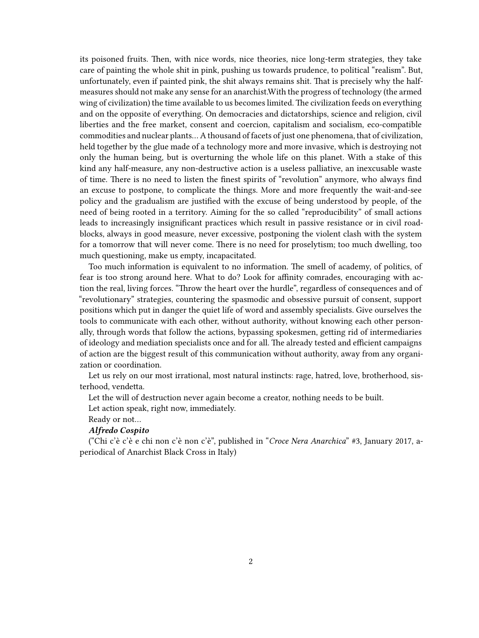its poisoned fruits. Then, with nice words, nice theories, nice long-term strategies, they take care of painting the whole shit in pink, pushing us towards prudence, to political "realism". But, unfortunately, even if painted pink, the shit always remains shit. That is precisely why the halfmeasures should not make any sense for an anarchist.With the progress of technology (the armed wing of civilization) the time available to us becomes limited. The civilization feeds on everything and on the opposite of everything. On democracies and dictatorships, science and religion, civil liberties and the free market, consent and coercion, capitalism and socialism, eco-compatible commodities and nuclear plants… A thousand of facets of just one phenomena, that of civilization, held together by the glue made of a technology more and more invasive, which is destroying not only the human being, but is overturning the whole life on this planet. With a stake of this kind any half-measure, any non-destructive action is a useless palliative, an inexcusable waste of time. There is no need to listen the finest spirits of "revolution" anymore, who always find an excuse to postpone, to complicate the things. More and more frequently the wait-and-see policy and the gradualism are justified with the excuse of being understood by people, of the need of being rooted in a territory. Aiming for the so called "reproducibility" of small actions leads to increasingly insignificant practices which result in passive resistance or in civil roadblocks, always in good measure, never excessive, postponing the violent clash with the system for a tomorrow that will never come. There is no need for proselytism; too much dwelling, too much questioning, make us empty, incapacitated.

Too much information is equivalent to no information. The smell of academy, of politics, of fear is too strong around here. What to do? Look for affinity comrades, encouraging with action the real, living forces. "Throw the heart over the hurdle", regardless of consequences and of "revolutionary" strategies, countering the spasmodic and obsessive pursuit of consent, support positions which put in danger the quiet life of word and assembly specialists. Give ourselves the tools to communicate with each other, without authority, without knowing each other personally, through words that follow the actions, bypassing spokesmen, getting rid of intermediaries of ideology and mediation specialists once and for all. The already tested and efficient campaigns of action are the biggest result of this communication without authority, away from any organization or coordination.

Let us rely on our most irrational, most natural instincts: rage, hatred, love, brotherhood, sisterhood, vendetta.

Let the will of destruction never again become a creator, nothing needs to be built.

Let action speak, right now, immediately.

Ready or not…

## *Alfredo Cospito*

("Chi c'è c'è e chi non c'è non c'è", published in "*Croce Nera Anarchica*" #3, January 2017, aperiodical of Anarchist Black Cross in Italy)